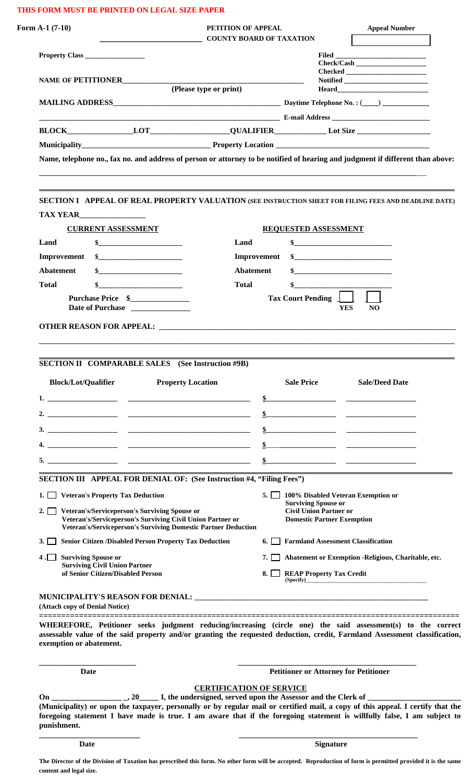# **THIS FORM MUST BE PRINTED ON LEGAL SIZE PAPER**

|                                                                                                                                                                                                                                                                                                                                                                                                                                                                          | Form $A-1(7-10)$<br>PETITION OF APPEAL<br><b>COUNTY BOARD OF TAXATION</b> |                                                             |                                                                                                                                                                                                                                                                                                                                                                           |
|--------------------------------------------------------------------------------------------------------------------------------------------------------------------------------------------------------------------------------------------------------------------------------------------------------------------------------------------------------------------------------------------------------------------------------------------------------------------------|---------------------------------------------------------------------------|-------------------------------------------------------------|---------------------------------------------------------------------------------------------------------------------------------------------------------------------------------------------------------------------------------------------------------------------------------------------------------------------------------------------------------------------------|
| Property Class                                                                                                                                                                                                                                                                                                                                                                                                                                                           |                                                                           |                                                             |                                                                                                                                                                                                                                                                                                                                                                           |
|                                                                                                                                                                                                                                                                                                                                                                                                                                                                          |                                                                           |                                                             | Check/Cash                                                                                                                                                                                                                                                                                                                                                                |
| NAME OF PETITIONER                                                                                                                                                                                                                                                                                                                                                                                                                                                       |                                                                           |                                                             | $\bf Checked \begin{picture}(150,10) \put(0,0){\dashbox{0.5}(10,0){ }} \put(15,0){\dashbox{0.5}(10,0){ }} \put(15,0){\dashbox{0.5}(10,0){ }} \put(15,0){\dashbox{0.5}(10,0){ }} \put(15,0){\dashbox{0.5}(10,0){ }} \put(15,0){\dashbox{0.5}(10,0){ }} \put(15,0){\dashbox{0.5}(10,0){ }} \put(15,0){\dashbox{0.5}(10,0){ }} \put(15,0){\dashbox{0.5}(10,0){ }} \put(15,0$ |
| (Please type or print)                                                                                                                                                                                                                                                                                                                                                                                                                                                   |                                                                           |                                                             | Heard <u>the contract of the second second</u> the second second second second second second second second second second second second second second second second second second second second second second second second second s                                                                                                                                       |
|                                                                                                                                                                                                                                                                                                                                                                                                                                                                          |                                                                           |                                                             |                                                                                                                                                                                                                                                                                                                                                                           |
|                                                                                                                                                                                                                                                                                                                                                                                                                                                                          |                                                                           |                                                             |                                                                                                                                                                                                                                                                                                                                                                           |
|                                                                                                                                                                                                                                                                                                                                                                                                                                                                          |                                                                           |                                                             |                                                                                                                                                                                                                                                                                                                                                                           |
|                                                                                                                                                                                                                                                                                                                                                                                                                                                                          |                                                                           |                                                             |                                                                                                                                                                                                                                                                                                                                                                           |
| Name, telephone no., fax no. and address of person or attorney to be notified of hearing and judgment if different than above:                                                                                                                                                                                                                                                                                                                                           |                                                                           |                                                             |                                                                                                                                                                                                                                                                                                                                                                           |
| SECTION I APPEAL OF REAL PROPERTY VALUATION (SEE INSTRUCTION SHEET FOR FILING FEES AND DEADLINE DATE)                                                                                                                                                                                                                                                                                                                                                                    |                                                                           |                                                             |                                                                                                                                                                                                                                                                                                                                                                           |
| TAX YEAR                                                                                                                                                                                                                                                                                                                                                                                                                                                                 |                                                                           |                                                             |                                                                                                                                                                                                                                                                                                                                                                           |
| <b>CURRENT ASSESSMENT</b>                                                                                                                                                                                                                                                                                                                                                                                                                                                |                                                                           | <b>REQUESTED ASSESSMENT</b>                                 |                                                                                                                                                                                                                                                                                                                                                                           |
| Land<br>$\sim$                                                                                                                                                                                                                                                                                                                                                                                                                                                           | Land                                                                      | $\sim$                                                      |                                                                                                                                                                                                                                                                                                                                                                           |
| Improvement<br>$\sim$                                                                                                                                                                                                                                                                                                                                                                                                                                                    | Improvement                                                               | \$                                                          |                                                                                                                                                                                                                                                                                                                                                                           |
| <b>Abatement</b>                                                                                                                                                                                                                                                                                                                                                                                                                                                         | <b>Abatement</b>                                                          | $\sim$                                                      |                                                                                                                                                                                                                                                                                                                                                                           |
| <b>Total</b><br><u> 1980 - Johann Barbara, martin a</u>                                                                                                                                                                                                                                                                                                                                                                                                                  | Total                                                                     |                                                             |                                                                                                                                                                                                                                                                                                                                                                           |
| <b>Purchase Price \$</b><br>Date of Purchase                                                                                                                                                                                                                                                                                                                                                                                                                             |                                                                           | Tax Court Pending                                           | <b>YES</b><br>NO.                                                                                                                                                                                                                                                                                                                                                         |
|                                                                                                                                                                                                                                                                                                                                                                                                                                                                          |                                                                           |                                                             |                                                                                                                                                                                                                                                                                                                                                                           |
|                                                                                                                                                                                                                                                                                                                                                                                                                                                                          |                                                                           |                                                             |                                                                                                                                                                                                                                                                                                                                                                           |
|                                                                                                                                                                                                                                                                                                                                                                                                                                                                          |                                                                           | <b>Sale Price</b>                                           | <b>Sale/Deed Date</b>                                                                                                                                                                                                                                                                                                                                                     |
| 1. $\overline{\phantom{a}}$ $\overline{\phantom{a}}$ $\overline{\phantom{a}}$ $\overline{\phantom{a}}$ $\overline{\phantom{a}}$ $\overline{\phantom{a}}$ $\overline{\phantom{a}}$ $\overline{\phantom{a}}$ $\overline{\phantom{a}}$ $\overline{\phantom{a}}$ $\overline{\phantom{a}}$ $\overline{\phantom{a}}$ $\overline{\phantom{a}}$ $\overline{\phantom{a}}$ $\overline{\phantom{a}}$ $\overline{\phantom{a}}$ $\overline{\phantom{a}}$ $\overline{\phantom{a}}$ $\$ |                                                                           |                                                             | $\frac{\ }{\ }$                                                                                                                                                                                                                                                                                                                                                           |
|                                                                                                                                                                                                                                                                                                                                                                                                                                                                          |                                                                           |                                                             |                                                                                                                                                                                                                                                                                                                                                                           |
|                                                                                                                                                                                                                                                                                                                                                                                                                                                                          |                                                                           |                                                             |                                                                                                                                                                                                                                                                                                                                                                           |
|                                                                                                                                                                                                                                                                                                                                                                                                                                                                          |                                                                           |                                                             | $\frac{\frac{1}{2}}{\frac{1}{2}}$                                                                                                                                                                                                                                                                                                                                         |
| 5. $\qquad \qquad$ $\qquad \qquad$ $\qquad \qquad$ $\qquad \qquad$ $\qquad \qquad$ $\qquad \qquad$ $\qquad$ $\qquad$ $\qquad$ $\qquad$ $\qquad$ $\qquad$ $\qquad$ $\qquad$ $\qquad$ $\qquad$ $\qquad$ $\qquad$ $\qquad$ $\qquad$ $\qquad$ $\qquad$ $\qquad$ $\qquad$ $\qquad$ $\qquad$ $\qquad$ $\qquad$ $\qquad$ $\qquad$ $\qquad$ $\qquad$ $\qquad$ $\$                                                                                                                |                                                                           |                                                             |                                                                                                                                                                                                                                                                                                                                                                           |
|                                                                                                                                                                                                                                                                                                                                                                                                                                                                          |                                                                           |                                                             |                                                                                                                                                                                                                                                                                                                                                                           |
| SECTION III APPEAL FOR DENIAL OF: (See Instruction #4, "Filing Fees")                                                                                                                                                                                                                                                                                                                                                                                                    |                                                                           |                                                             |                                                                                                                                                                                                                                                                                                                                                                           |
| 1. Veteran's Property Tax Deduction<br>2. Veteran's/Serviceperson's Surviving Spouse or                                                                                                                                                                                                                                                                                                                                                                                  |                                                                           | <b>Surviving Spouse or</b><br><b>Civil Union Partner or</b> | 5. 100% Disabled Veteran Exemption or                                                                                                                                                                                                                                                                                                                                     |
| Veteran's/Serviceperson's Surviving Civil Union Partner or                                                                                                                                                                                                                                                                                                                                                                                                               |                                                                           | <b>Domestic Partner Exemption</b>                           |                                                                                                                                                                                                                                                                                                                                                                           |
| Veteran's/Serviceperson's Surviving Domestic Partner Deduction                                                                                                                                                                                                                                                                                                                                                                                                           |                                                                           | <b>6.</b> Farmland Assessment Classification                |                                                                                                                                                                                                                                                                                                                                                                           |
| 3. Senior Citizen / Disabled Person Property Tax Deduction                                                                                                                                                                                                                                                                                                                                                                                                               |                                                                           |                                                             |                                                                                                                                                                                                                                                                                                                                                                           |
| <b>Surviving Spouse or</b><br>4.1<br><b>Surviving Civil Union Partner</b>                                                                                                                                                                                                                                                                                                                                                                                                |                                                                           |                                                             | 7. Abatement or Exemption -Religious, Charitable, etc.                                                                                                                                                                                                                                                                                                                    |
| of Senior Citizen/Disabled Person                                                                                                                                                                                                                                                                                                                                                                                                                                        | 8. I I                                                                    |                                                             | <u> 1980 - Jan James James Barnett, fransk politik (d. 1980)</u>                                                                                                                                                                                                                                                                                                          |
| (Attach copy of Denial Notice)                                                                                                                                                                                                                                                                                                                                                                                                                                           |                                                                           |                                                             |                                                                                                                                                                                                                                                                                                                                                                           |
| WHEREFORE, Petitioner seeks judgment reducing/increasing (circle one) the said assessment(s) to the correct<br>assessable value of the said property and/or granting the requested deduction, credit, Farmland Assessment classification,<br>exemption or abatement.                                                                                                                                                                                                     |                                                                           |                                                             |                                                                                                                                                                                                                                                                                                                                                                           |
| Date                                                                                                                                                                                                                                                                                                                                                                                                                                                                     |                                                                           | <b>Petitioner or Attorney for Petitioner</b>                |                                                                                                                                                                                                                                                                                                                                                                           |
| $\frac{1}{2}$ , 20 $\frac{1}{2}$ I, the undersigned, served upon the Assessor and the Clerk of $\frac{1}{2}$<br>On                                                                                                                                                                                                                                                                                                                                                       | <b>CERTIFICATION OF SERVICE</b>                                           |                                                             |                                                                                                                                                                                                                                                                                                                                                                           |

**Date** Signature

**The Director of the Division of Taxation has prescribed this form. No other form will be accepted. Reproduction of form is permitted provided it is the same content and legal size.** 

 **\_\_\_\_\_\_\_\_\_\_\_\_\_\_\_\_\_\_\_\_\_\_\_\_\_\_ \_\_\_\_\_\_\_\_\_\_\_\_\_\_\_\_\_\_\_\_\_\_\_\_\_\_\_\_\_\_\_\_\_\_\_\_\_\_\_\_\_\_\_\_\_\_**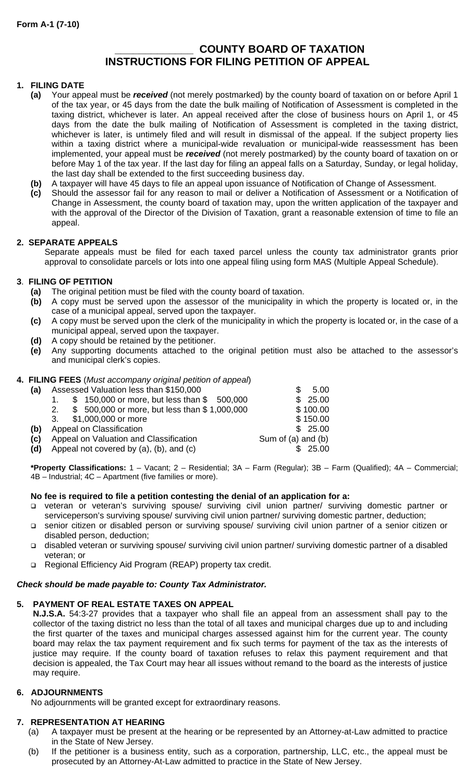# **\_\_\_\_\_\_\_\_\_\_\_\_\_ COUNTY BOARD OF TAXATION INSTRUCTIONS FOR FILING PETITION OF APPEAL**

# **1. FILING DATE**

- **(a)** Your appeal must be *received* (not merely postmarked) by the county board of taxation on or before April 1 of the tax year, or 45 days from the date the bulk mailing of Notification of Assessment is completed in the taxing district, whichever is later. An appeal received after the close of business hours on April 1, or 45 days from the date the bulk mailing of Notification of Assessment is completed in the taxing district, whichever is later, is untimely filed and will result in dismissal of the appeal. If the subject property lies within a taxing district where a municipal-wide revaluation or municipal-wide reassessment has been implemented, your appeal must be *received* (not merely postmarked) by the county board of taxation on or before May 1 of the tax year. If the last day for filing an appeal falls on a Saturday, Sunday, or legal holiday, the last day shall be extended to the first succeeding business day.
- **(b)** A taxpayer will have 45 days to file an appeal upon issuance of Notification of Change of Assessment.
- **(c)** Should the assessor fail for any reason to mail or deliver a Notification of Assessment or a Notification of Change in Assessment, the county board of taxation may, upon the written application of the taxpayer and with the approval of the Director of the Division of Taxation, grant a reasonable extension of time to file an appeal.

# **2. SEPARATE APPEALS**

Separate appeals must be filed for each taxed parcel unless the county tax administrator grants prior approval to consolidate parcels or lots into one appeal filing using form MAS (Multiple Appeal Schedule).

# **3**. **FILING OF PETITION**

- **(a)** The original petition must be filed with the county board of taxation.
- **(b)** A copy must be served upon the assessor of the municipality in which the property is located or, in the case of a municipal appeal, served upon the taxpayer.
- **(c)** A copy must be served upon the clerk of the municipality in which the property is located or, in the case of a municipal appeal, served upon the taxpayer.
- **(d)** A copy should be retained by the petitioner.
- **(e)** Any supporting documents attached to the original petition must also be attached to the assessor's and municipal clerk's copies.

# **4. FILING FEES** (*Must accompany original petition of appeal*)

| (a) | Assessed Valuation less than \$150,000             | 5.00               |
|-----|----------------------------------------------------|--------------------|
|     | \$150,000 or more, but less than \$500,000         | 25.00<br>\$.       |
|     | \$500,000 or more, but less than \$1,000,000<br>2. | \$100.00           |
|     | 3. \$1,000,000 or more                             | \$150.00           |
| (b) | Appeal on Classification                           | \$25.00            |
| (c) | Appeal on Valuation and Classification             | Sum of (a) and (b) |
| (d) | Appeal not covered by (a), (b), and (c)            | 25.00              |

**\*Property Classifications:** 1 – Vacant; 2 – Residential; 3A – Farm (Regular); 3B – Farm (Qualified); 4A – Commercial; 4B – Industrial; 4C – Apartment (five families or more).

# **No fee is required to file a petition contesting the denial of an application for a:**

- veteran or veteran's surviving spouse/ surviving civil union partner/ surviving domestic partner or serviceperson's surviving spouse/ surviving civil union partner/ surviving domestic partner, deduction;
- senior citizen or disabled person or surviving spouse/ surviving civil union partner of a senior citizen or disabled person, deduction;
- disabled veteran or surviving spouse/ surviving civil union partner/ surviving domestic partner of a disabled veteran; or
- Regional Efficiency Aid Program (REAP) property tax credit.

# *Check should be made payable to: County Tax Administrator.*

# **5. PAYMENT OF REAL ESTATE TAXES ON APPEAL**

**N.J.S.A.** 54:3-27 provides that a taxpayer who shall file an appeal from an assessment shall pay to the collector of the taxing district no less than the total of all taxes and municipal charges due up to and including the first quarter of the taxes and municipal charges assessed against him for the current year. The county board may relax the tax payment requirement and fix such terms for payment of the tax as the interests of justice may require. If the county board of taxation refuses to relax this payment requirement and that decision is appealed, the Tax Court may hear all issues without remand to the board as the interests of justice may require.

# **6. ADJOURNMENTS**

No adjournments will be granted except for extraordinary reasons.

# **7. REPRESENTATION AT HEARING**

- (a) A taxpayer must be present at the hearing or be represented by an Attorney-at-Law admitted to practice in the State of New Jersey.
- (b) If the petitioner is a business entity, such as a corporation, partnership, LLC, etc., the appeal must be prosecuted by an Attorney-At-Law admitted to practice in the State of New Jersey.